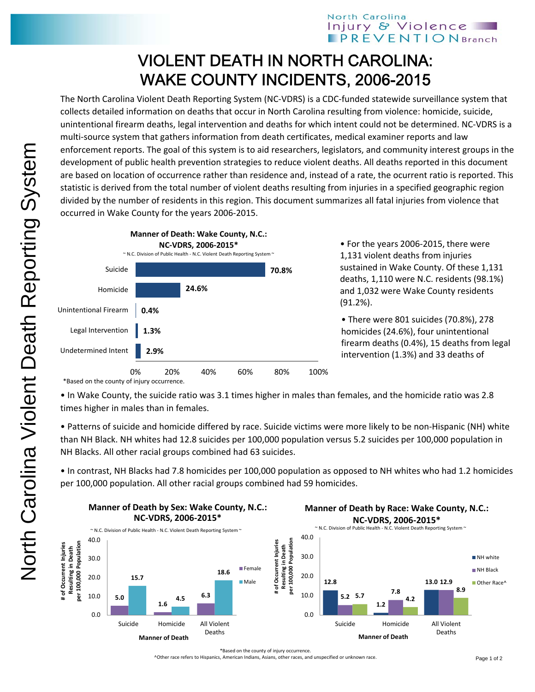## North Carolina Injury & Violence **PREVENTIONBranch**

## VIOLENT DEATH IN NORTH CAROLINA: WAKE COUNTY INCIDENTS, 2006-2015

The North Carolina Violent Death Reporting System (NC‐VDRS) is a CDC‐funded statewide surveillance system that collects detailed information on deaths that occur in North Carolina resulting from violence: homicide, suicide, unintentional firearm deaths, legal intervention and deaths for which intent could not be determined. NC‐VDRS is a multi-source system that gathers information from death certificates, medical examiner reports and law enforcement reports. The goal of this system is to aid researchers, legislators, and community interest groups in the development of public health prevention strategies to reduce violent deaths. All deaths reported in this document are based on location of occurrence rather than residence and, instead of a rate, the ocurrent ratio is reported. This statistic is derived from the total number of violent deaths resulting from injuries in a specified geographic region divided by the number of residents in this region. This document summarizes all fatal injuries from violence that occurred in Wake County for the years 2006‐2015.



• For the years 2006‐2015, there were 1,131 violent deaths from injuries sustained in Wake County. Of these 1,131 deaths, 1,110 were N.C. residents (98.1%) and 1,032 were Wake County residents (91.2%).

• There were 801 suicides (70.8%), 278 homicides (24.6%), four unintentional firearm deaths (0.4%), 15 deaths from legal intervention (1.3%) and 33 deaths of

\*Based on the county of injury occurrence.

• In Wake County, the suicide ratio was 3.1 times higher in males than females, and the homicide ratio was 2.8 times higher in males than in females.

• Patterns of suicide and homicide differed by race. Suicide victims were more likely to be non‐Hispanic (NH) white than NH Black. NH whites had 12.8 suicides per 100,000 population versus 5.2 suicides per 100,000 population in NH Blacks. All other racial groups combined had 63 suicides.

• In contrast, NH Blacks had 7.8 homicides per 100,000 population as opposed to NH whites who had 1.2 homicides per 100,000 population. All other racial groups combined had 59 homicides.



\*Based on the county of injury occurrence.

^Other race refers to Hispanics, American Indians, Asians, other races, and unspecified or unknown race.